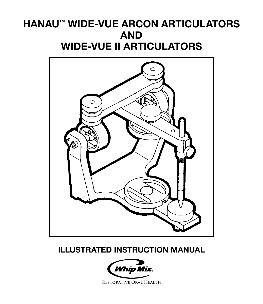# HANAU™ WIDE-VUE ARCON ARTICULATORS AND WIDE-VUE II ARTICULATORS



# ILLUSTRATED INSTRUCTION MANUAL



RESTORATIVE ORAL HEALTH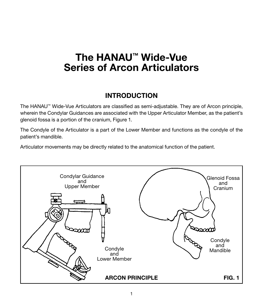# The HANAU™ Wide-Vue Series of Arcon Articulators

# INTRODUCTION

The HANAU™ Wide-Vue Articulators are classified as semi-adjustable. They are of Arcon principle, wherein the Condylar Guidances are associated with the Upper Articulator Member, as the patient's glenoid fossa is a portion of the cranium, Figure 1.

The Condyle of the Articulator is a part of the Lower Member and functions as the condyle of the patient's mandible.

Articulator movements may be directly related to the anatomical function of the patient.

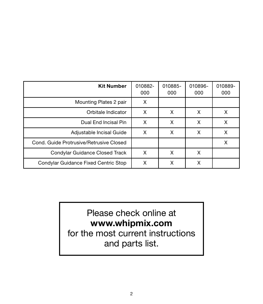| <b>Kit Number</b>                       | 010882-<br>000 | 010885-<br>000 | 010896-<br>000 | 010889-<br>000 |
|-----------------------------------------|----------------|----------------|----------------|----------------|
| Mounting Plates 2 pair                  | X              |                |                |                |
| Orbitale Indicator                      | X              | X              | X              | X              |
| Dual End Incisal Pin                    | X              | X              | X              | X              |
| Adjustable Incisal Guide                | X              | x              | X              | X              |
| Cond. Guide Protrusive/Retrusive Closed |                |                |                | X              |
| Condylar Guidance Closed Track          | X              | x              | X              |                |
| Condylar Guidance Fixed Centric Stop    | х              | х              | х              |                |

# Please check online at www.whipmix.com

for the most current instructions and parts list.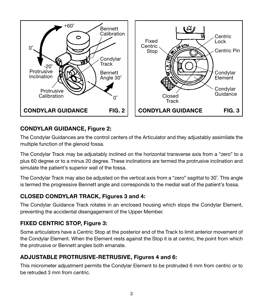

## CONDYLAR GUIDANCE, Figure 2:

The Condylar Guidances are the control centers of the Articulator and they adjustably assimilate the multiple function of the glenoid fossa.

The Condylar Track may be adjustably inclined on the horizontal transverse axis from a "zero" to a plus 60 degree or to a minus 20 degree. These inclinations are termed the protrusive inclination and simulate the patient's superior wall of the fossa.

The Condylar Track may also be adjusted on the vertical axis from a "zero" sagittal to 30˚. This angle is termed the progressive Bennett angle and corresponds to the medial wall of the patient's fossa.

#### CLOSED CONDYLAR TRACK, Figures 3 and 4:

The Condylar Guidance Track rotates in an enclosed housing which stops the Condylar Element, preventing the accidental disengagement of the Upper Member.

#### FIXED CENTRIC STOP, Figure 3:

Some articulators have a Centric Stop at the posterior end of the Track to limit anterior movement of the Condylar Element. When the Element rests against the Stop it is at centric, the point from which the protrusive or Bennett angles both emanate.

#### ADJUSTABLE PROTRUSIVE-RETRUSIVE, Figures 4 and 6:

This micrometer adjustment permits the Condylar Element to be protruded 6 mm from centric or to be retruded 3 mm from centric.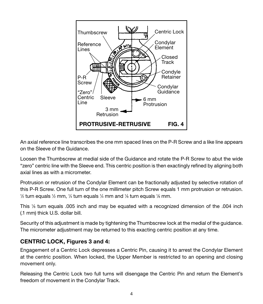

An axial reference line transcribes the one mm spaced lines on the P-R Screw and a like line appears on the Sleeve of the Guidance.

Loosen the Thumbscrew at medial side of the Guidance and rotate the P-R Screw to abut the wide "zero" centric line with the Sleeve end. This centric position is then exactingly refined by aligning both axial lines as with a micrometer.

Protrusion or retrusion of the Condylar Element can be fractionally adjusted by selective rotation of this P-R Screw. One full turn of the one millimeter pitch Screw equals 1 mm protrusion or retrusion.  $\frac{1}{2}$  turn equals  $\frac{1}{2}$  mm,  $\frac{1}{4}$  turn equals  $\frac{1}{4}$  mm and  $\frac{1}{8}$  turn equals  $\frac{1}{8}$  mm.

This 1 ⁄8 turn equals .005 inch and may be equated with a recognized dimension of the .004 inch (.1 mm) thick U.S. dollar bill.

Security of this adjustment is made by tightening the Thumbscrew lock at the medial of the guidance. The micrometer adjustment may be returned to this exacting centric position at any time.

#### CENTRIC LOCK, Figures 3 and 4:

Engagement of a Centric Lock depresses a Centric Pin, causing it to arrest the Condylar Element at the centric position. When locked, the Upper Member is restricted to an opening and closing movement only.

Releasing the Centric Lock two full turns will disengage the Centric Pin and return the Element's freedom of movement in the Condylar Track.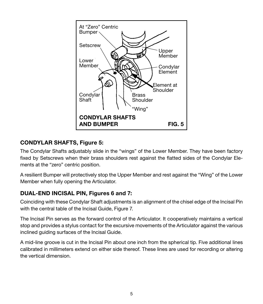

# CONDYLAR SHAFTS, Figure 5:

The Condylar Shafts adjustably slide in the "wings" of the Lower Member. They have been factory fixed by Setscrews when their brass shoulders rest against the flatted sides of the Condylar Elements at the "zero" centric position.

A resilient Bumper will protectively stop the Upper Member and rest against the "Wing" of the Lower Member when fully opening the Articulator.

#### DUAL-END INCISAL PIN, Figures 6 and 7:

Coinciding with these Condylar Shaft adjustments is an alignment of the chisel edge of the Incisal Pin with the central table of the Incisal Guide, Figure 7.

The Incisal Pin serves as the forward control of the Articulator. It cooperatively maintains a vertical stop and provides a stylus contact for the excursive movements of the Articulator against the various inclined guiding surfaces of the Incisal Guide.

A mid-line groove is cut in the Incisal Pin about one inch from the spherical tip. Five additional lines calibrated in millimeters extend on either side thereof. These lines are used for recording or altering the vertical dimension.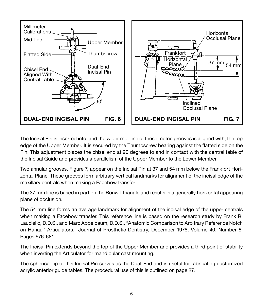

The Incisal Pin is inserted into, and the wider mid-line of these metric grooves is aligned with, the top edge of the Upper Member. It is secured by the Thumbscrew bearing against the flatted side on the Pin. This adjustment places the chisel end at 90 degrees to and in contact with the central table of the Incisal Guide and provides a parallelism of the Upper Member to the Lower Member.

Two annular grooves, Figure 7, appear on the Incisal Pin at 37 and 54 mm below the Frankfort Horizontal Plane. These grooves form arbitrary vertical landmarks for alignment of the incisal edge of the maxillary centrals when making a Facebow transfer.

The 37 mm line is based in part on the Bonwil Triangle and results in a generally horizontal appearing plane of occlusion.

The 54 mm line forms an average landmark for alignment of the incisal edge of the upper centrals when making a Facebow transfer. This reference line is based on the research study by Frank R. Lauciello, D.D.S., and Marc Appelbaum, D.D.S., "Anatomic Comparison to Arbitrary Reference Notch on Hanau™ Articulators," Journal of Prosthetic Dentistry, December 1978, Volume 40, Number 6, Pages 676-681.

The Incisal Pin extends beyond the top of the Upper Member and provides a third point of stability when inverting the Articulator for mandibular cast mounting.

The spherical tip of this Incisal Pin serves as the Dual-End and is useful for fabricating customized acrylic anterior guide tables. The procedural use of this is outlined on page 27.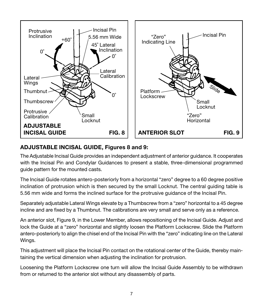

# ADJUSTABLE INCISAL GUIDE, Figures 8 and 9:

The Adjustable Incisal Guide provides an independent adjustment of anterior guidance. It cooperates with the Incisal Pin and Condylar Guidances to present a stable, three-dimensional programmed guide pattern for the mounted casts.

The Incisal Guide rotates antero-posteriorly from a horizontal "zero" degree to a 60 degree positive inclination of protrusion which is then secured by the small Locknut. The central guiding table is 5.56 mm wide and forms the inclined surface for the protrusive guidance of the Incisal Pin.

Separately adjustable Lateral Wings elevate by a Thumbscrew from a "zero" horizontal to a 45 degree incline and are fixed by a Thumbnut. The calibrations are very small and serve only as a reference.

An anterior slot, Figure 9, in the Lower Member, allows repositioning of the Incisal Guide. Adjust and lock the Guide at a "zero" horizontal and slightly loosen the Platform Lockscrew. Slide the Platform antero-posteriorly to align the chisel end of the Incisal Pin with the "zero" indicating line on the Lateral Wings.

This adjustment will place the Incisal Pin contact on the rotational center of the Guide, thereby maintaining the vertical dimension when adjusting the inclination for protrusion.

Loosening the Platform Lockscrew one turn will allow the Incisal Guide Assembly to be withdrawn from or returned to the anterior slot without any disassembly of parts.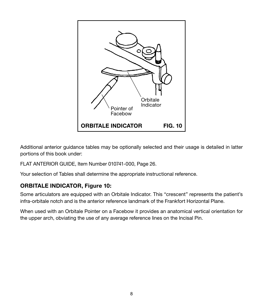

Additional anterior guidance tables may be optionally selected and their usage is detailed in latter portions of this book under:

FLAT ANTERIOR GUIDE, Item Number 010741-000, Page 26.

Your selection of Tables shall determine the appropriate instructional reference.

# ORBITALE INDICATOR, Figure 10:

Some articulators are equipped with an Orbitale Indicator. This "crescent" represents the patient's infra-orbitale notch and is the anterior reference landmark of the Frankfort Horizontal Plane.

When used with an Orbitale Pointer on a Facebow it provides an anatomical vertical orientation for the upper arch, obviating the use of any average reference lines on the Incisal Pin.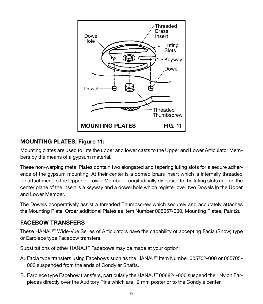

# MOUNTING PLATES, Figure 11:

Mounting plates are used to lute the upper and lower casts to the Upper and Lower Articulator Members by the means of a gypsum material.

These non-warping metal Plates contain two elongated and tapering luting slots for a secure adherence of the gypsum mounting. At their center is a domed brass insert which is internally threaded for attachment to the Upper or Lower Member. Longitudinally disposed to the luting slots and on the center plane of the insert is a keyway and a dowel hole which register over two Dowels in the Upper and Lower Member.

The Dowels cooperatively assist a threaded Thumbscrew which securely and accurately attaches the Mounting Plate. Order additional Plates as Item Number 005057-000, Mounting Plates, Pair (2).

# FACEBOW TRANSFERS

These HANAU™ Wide-Vue Series of Articulators have the capability of accepting Facia (Snow) type or Earpiece type Facebow transfers.

Substitutions of other HANAU™ Facebows may be made at your option:

- A. Facia type transfers using Facebows such as the HANAU™ Item Number 005702-000 or 005705- 000 suspended from the ends of Condylar Shafts.
- B. Earpiece type Facebow transfers, particularly the HANAU™ 008824-000 suspend their Nylon Earpieces directly over the Auditory Pins which are 12 mm posterior to the Condyle center.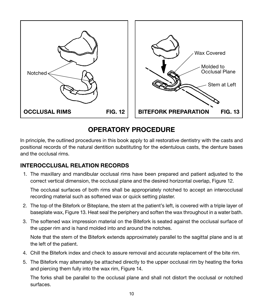

# OPERATORY PROCEDURE

In principle, the outlined procedures in this book apply to all restorative dentistry with the casts and positional records of the natural dentition substituting for the edentulous casts, the denture bases and the occlusal rims.

#### INTEROCCLUSAL RELATION RECORDS

1. The maxillary and mandibular occlusal rims have been prepared and patient adjusted to the correct vertical dimension, the occlusal plane and the desired horizontal overlap, Figure 12.

 The occlusal surfaces of both rims shall be appropriately notched to accept an interocclusal recording material such as softened wax or quick setting plaster.

- 2. The top of the Bitefork or Biteplane, the stem at the patient's left, is covered with a triple layer of baseplate wax, Figure 13. Heat seal the periphery and soften the wax throughout in a water bath.
- 3. The softened wax impression material on the Bitefork is seated against the occlusal surface of the upper rim and is hand molded into and around the notches.

 Note that the stem of the Bitefork extends approximately parallel to the sagittal plane and is at the left of the patient.

- 4. Chill the Bitefork index and check to assure removal and accurate replacement of the bite rim.
- 5. The Bitefork may alternately be attached directly to the upper occlusal rim by heating the forks and piercing them fully into the wax rim, Figure 14.

 The forks shall be parallel to the occlusal plane and shall not distort the occlusal or notched surfaces.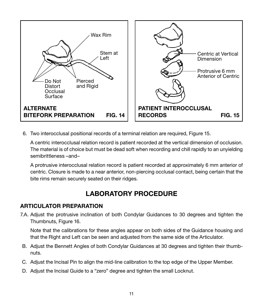

6. Two interocclusal positional records of a terminal relation are required, Figure 15.

 A centric interocclusal relation record is patient recorded at the vertical dimension of occlusion. The material is of choice but must be dead soft when recording and chill rapidly to an unyielding semibrittleness –and–

 A protrusive interocclusal relation record is patient recorded at approximately 6 mm anterior of centric. Closure is made to a near anterior, non-piercing occlusal contact, being certain that the bite rims remain securely seated on their ridges.

# LABORATORY PROCEDURE

#### ARTICULATOR PREPARATION

7.A. Adjust the protrusive inclination of both Condylar Guidances to 30 degrees and tighten the Thumbnuts, Figure 16.

 Note that the calibrations for these angles appear on both sides of the Guidance housing and that the Right and Left can be seen and adjusted from the same side of the Articulator.

- B. Adjust the Bennett Angles of both Condylar Guidances at 30 degrees and tighten their thumbnuts.
- C. Adjust the Incisal Pin to align the mid-line calibration to the top edge of the Upper Member.
- D. Adjust the Incisal Guide to a "zero" degree and tighten the small Locknut.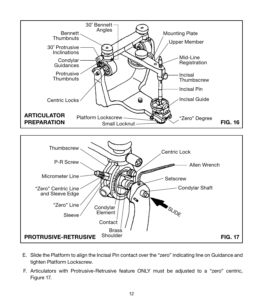



- E. Slide the Platform to align the Incisal Pin contact over the "zero" indicating line on Guidance and tighten Platform Lockscrew.
- F. Articulators with Protrusive-Retrusive feature ONLY must be adjusted to a "zero" centric, Figure 17.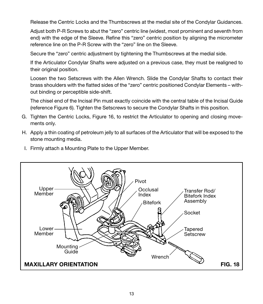Release the Centric Locks and the Thumbscrews at the medial site of the Condylar Guidances.

 Adjust both P-R Screws to abut the "zero" centric line (widest, most prominent and seventh from end) with the edge of the Sleeve. Refine this "zero" centric position by aligning the micrometer reference line on the P-R Screw with the "zero" line on the Sleeve.

Secure the "zero" centric adjustment by tightening the Thumbscrews at the medial side.

 If the Articulator Condylar Shafts were adjusted on a previous case, they must be realigned to their original position.

 Loosen the two Setscrews with the Allen Wrench. Slide the Condylar Shafts to contact their brass shoulders with the flatted sides of the "zero" centric positioned Condylar Elements – without binding or perceptible side-shift.

 The chisel end of the Incisal Pin must exactly coincide with the central table of the Incisal Guide (reference Figure 6). Tighten the Setscrews to secure the Condylar Shafts in this position.

- G. Tighten the Centric Locks, Figure 16, to restrict the Articulator to opening and closing movements only.
- H. Apply a thin coating of petroleum jelly to all surfaces of the Articulator that will be exposed to the stone mounting media.
- I. Firmly attach a Mounting Plate to the Upper Member.

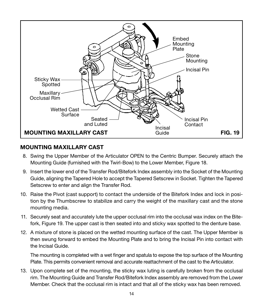

#### MOUNTING MAXILLARY CAST

- 8. Swing the Upper Member of the Articulator OPEN to the Centric Bumper. Securely attach the Mounting Guide (furnished with the Twirl-Bow) to the Lower Member, Figure 18.
- 9. Insert the lower end of the Transfer Rod/Bitefork Index assembly into the Socket of the Mounting Guide, aligning the Tapered Hole to accept the Tapered Setscrew in Socket. Tighten the Tapered Setscrew to enter and align the Transfer Rod.
- 10. Raise the Pivot (cast support) to contact the underside of the Bitefork Index and lock in position by the Thumbscrew to stabilize and carry the weight of the maxillary cast and the stone mounting media.
- 11. Securely seat and accurately lute the upper occlusal rim into the occlusal wax index on the Bitefork, Figure 19. The upper cast is then seated into and sticky wax spotted to the denture base.
- 12. A mixture of stone is placed on the wetted mounting surface of the cast. The Upper Member is then swung forward to embed the Mounting Plate and to bring the Incisal Pin into contact with the Incisal Guide.

 The mounting is completed with a wet finger and spatula to expose the top surface of the Mounting Plate. This permits convenient removal and accurate reattachment of the cast to the Articulator.

13. Upon complete set of the mounting, the sticky wax luting is carefully broken from the occlusal rim. The Mounting Guide and Transfer Rod/Bitefork Index assembly are removed from the Lower Member. Check that the occlusal rim is intact and that all of the sticky wax has been removed.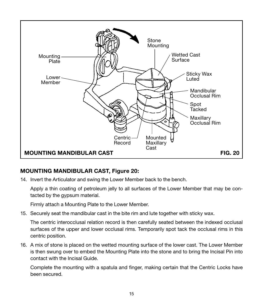

#### MOUNTING MANDIBULAR CAST, Figure 20:

14. Invert the Articulator and swing the Lower Member back to the bench.

 Apply a thin coating of petroleum jelly to all surfaces of the Lower Member that may be contacted by the gypsum material.

Firmly attach a Mounting Plate to the Lower Member.

15. Securely seat the mandibular cast in the bite rim and lute together with sticky wax.

 The centric interocclusal relation record is then carefully seated between the indexed occlusal surfaces of the upper and lower occlusal rims. Temporarily spot tack the occlusal rims in this centric position.

16. A mix of stone is placed on the wetted mounting surface of the lower cast. The Lower Member is then swung over to embed the Mounting Plate into the stone and to bring the Incisal Pin into contact with the Incisal Guide.

 Complete the mounting with a spatula and finger, making certain that the Centric Locks have been secured.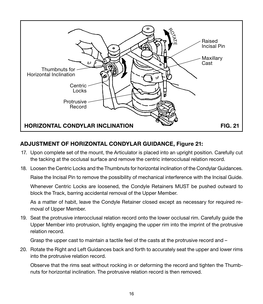

# ADJUSTMENT OF HORIZONTAL CONDYLAR GUIDANCE, Figure 21:

- 17. Upon complete set of the mount, the Articulator is placed into an upright position. Carefully cut the tacking at the occlusal surface and remove the centric interocclusal relation record.
- 18. Loosen the Centric Locks and the Thumbnuts for horizontal inclination of the Condylar Guidances.

Raise the Incisal Pin to remove the possibility of mechanical interference with the Incisal Guide.

 Whenever Centric Locks are loosened, the Condyle Retainers MUST be pushed outward to block the Track, barring accidental removal of the Upper Member.

 As a matter of habit, leave the Condyle Retainer closed except as necessary for required removal of Upper Member.

19. Seat the protrusive interocclusal relation record onto the lower occlusal rim. Carefully guide the Upper Member into protrusion, lightly engaging the upper rim into the imprint of the protrusive relation record.

Grasp the upper cast to maintain a tactile feel of the casts at the protrusive record and –

20. Rotate the Right and Left Guidances back and forth to accurately seat the upper and lower rims into the protrusive relation record.

 Observe that the rims seat without rocking in or deforming the record and tighten the Thumbnuts for horizontal inclination. The protrusive relation record is then removed.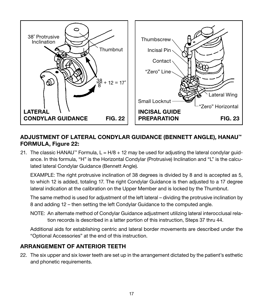

#### ADJUSTMENT OF LATERAL CONDYLAR GUIDANCE (BENNETT ANGLE), HANAU™ FORMULA, Figure 22:

21. The classic HANAU™ Formula,  $L = H/8 + 12$  may be used for adjusting the lateral condylar guidance. In this formula, "H" is the Horizontal Condylar (Protrusive) Inclination and "L" is the calculated lateral Condylar Guidance (Bennett Angle).

 EXAMPLE: The right protrusive inclination of 38 degrees is divided by 8 and is accepted as 5, to which 12 is added, totaling 17. The right Condylar Guidance is then adjusted to a 17 degree lateral indication at the calibration on the Upper Member and is locked by the Thumbnut.

 The same method is used for adjustment of the left lateral – dividing the protrusive inclination by 8 and adding 12 – then setting the left Condylar Guidance to the computed angle.

 NOTE: An alternate method of Condylar Guidance adjustment utilizing lateral interocclusal relation records is described in a latter portion of this instruction, Steps 37 thru 44.

 Additional aids for establishing centric and lateral border movements are described under the "Optional Accessories" at the end of this instruction.

# ARRANGEMENT OF ANTERIOR TEETH

22. The six upper and six lower teeth are set up in the arrangement dictated by the patient's esthetic and phonetic requirements.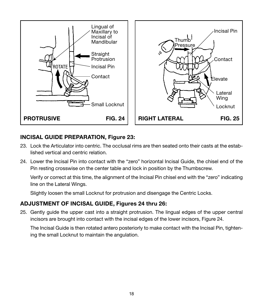

#### INCISAL GUIDE PREPARATION, Figure 23:

- 23. Lock the Articulator into centric. The occlusal rims are then seated onto their casts at the established vertical and centric relation.
- 24. Lower the Incisal Pin into contact with the "zero" horizontal Incisal Guide, the chisel end of the Pin resting crosswise on the center table and lock in position by the Thumbscrew.

 Verify or correct at this time, the alignment of the Incisal Pin chisel end with the "zero" indicating line on the Lateral Wings.

Slightly loosen the small Locknut for protrusion and disengage the Centric Locks.

#### ADJUSTMENT OF INCISAL GUIDE, Figures 24 thru 26:

25. Gently guide the upper cast into a straight protrusion. The lingual edges of the upper central incisors are brought into contact with the incisal edges of the lower incisors, Figure 24.

 The Incisal Guide is then rotated antero posteriorly to make contact with the Incisal Pin, tightening the small Locknut to maintain the angulation.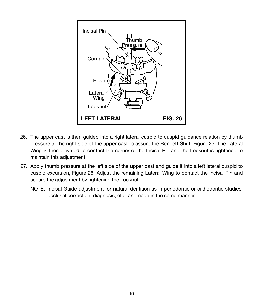

- 26. The upper cast is then guided into a right lateral cuspid to cuspid guidance relation by thumb pressure at the right side of the upper cast to assure the Bennett Shift, Figure 25. The Lateral Wing is then elevated to contact the corner of the Incisal Pin and the Locknut is tightened to maintain this adjustment.
- 27. Apply thumb pressure at the left side of the upper cast and guide it into a left lateral cuspid to cuspid excursion, Figure 26. Adjust the remaining Lateral Wing to contact the Incisal Pin and secure the adjustment by tightening the Locknut.
	- NOTE: Incisal Guide adjustment for natural dentition as in periodontic or orthodontic studies, occlusal correction, diagnosis, etc., are made in the same manner.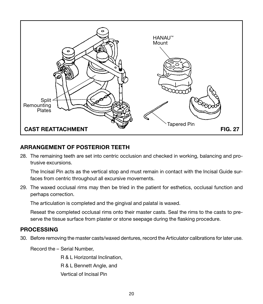

#### ARRANGEMENT OF POSTERIOR TEETH

28. The remaining teeth are set into centric occlusion and checked in working, balancing and protrusive excursions.

 The Incisal Pin acts as the vertical stop and must remain in contact with the Incisal Guide surfaces from centric throughout all excursive movements.

29. The waxed occlusal rims may then be tried in the patient for esthetics, occlusal function and perhaps correction.

The articulation is completed and the gingival and palatal is waxed.

 Reseat the completed occlusal rims onto their master casts. Seal the rims to the casts to preserve the tissue surface from plaster or stone seepage during the flasking procedure.

#### PROCESSING

30. Before removing the master casts/waxed dentures, record the Articulator calibrations for later use.

Record the – Serial Number,

R & L Horizontal Inclination, R & L Bennett Angle, and Vertical of Incisal Pin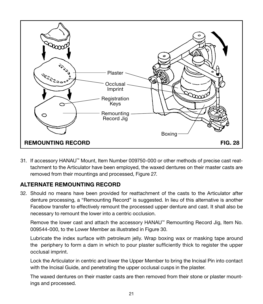

31. If accessory HANAU™ Mount, Item Number 009750-000 or other methods of precise cast reattachment to the Articulator have been employed, the waxed dentures on their master casts are removed from their mountings and processed, Figure 27.

#### ALTERNATE REMOUNTING RECORD

32. Should no means have been provided for reattachment of the casts to the Articulator after denture processing, a "Remounting Record" is suggested. In lieu of this alternative is another Facebow transfer to effectively remount the processed upper denture and cast. It shall also be necessary to remount the lower into a centric occlusion.

 Remove the lower cast and attach the accessory HANAU™ Remounting Record Jig, Item No. 009544-000, to the Lower Member as illustrated in Figure 30.

 Lubricate the index surface with petroleum jelly. Wrap boxing wax or masking tape around the periphery to form a dam in which to pour plaster sufficiently thick to register the upper occlusal imprint.

 Lock the Articulator in centric and lower the Upper Member to bring the Incisal Pin into contact with the Incisal Guide, and penetrating the upper occlusal cusps in the plaster.

 The waxed dentures on their master casts are then removed from their stone or plaster mountings and processed.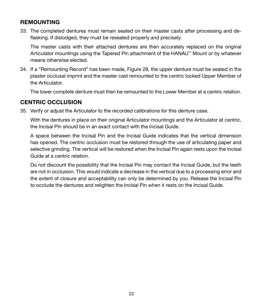#### REMOUNTING

33. The completed dentures must remain seated on their master casts after processing and deflasking. If dislodged, they must be reseated properly and precisely.

 The master casts with their attached dentures are then accurately replaced on the original Articulator mountings using the Tapered Pin attachment of the HANAU™ Mount or by whatever means otherwise elected.

34. If a "Remounting Record" has been made, Figure 28, the upper denture must be seated in the plaster occlusal imprint and the master cast remounted to the centric locked Upper Member of the Articulator.

The lower complete denture must then be remounted to the Lower Member at a centric relation.

#### CENTRIC OCCLUSION

35. Verify or adjust the Articulator to the recorded calibrations for this denture case.

 With the dentures in place on their original Articulator mountings and the Articulator at centric, the Incisal Pin should be in an exact contact with the Incisal Guide.

 A space between the Incisal Pin and the Incisal Guide indicates that the vertical dimension has opened. The centric occlusion must be restored through the use of articulating paper and selective grinding. The vertical will be restored when the Incisal Pin again rests upon the Incisal Guide at a centric relation.

 Do not discount the possibility that the Incisal Pin may contact the Incisal Guide, but the teeth are not in occlusion. This would indicate a decrease in the vertical due to a processing error and the extent of closure and acceptability can only be determined by you. Release the Incisal Pin to occlude the dentures and retighten the Incisal Pin when it rests on the Incisal Guide.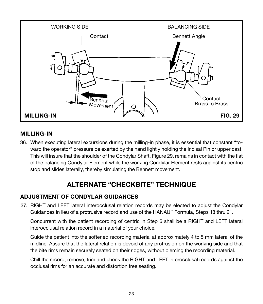

#### MILLING-IN

36. When executing lateral excursions during the milling-in phase, it is essential that constant "toward the operator" pressure be exerted by the hand lightly holding the Incisal Pin or upper cast. This will insure that the shoulder of the Condylar Shaft, Figure 29, remains in contact with the flat of the balancing Condylar Element while the working Condylar Element rests against its centric stop and slides laterally, thereby simulating the Bennett movement.

# ALTERNATE "CHECKBITE" TECHNIQUE

#### ADJUSTMENT OF CONDYLAR GUIDANCES

37. RIGHT and LEFT lateral interocclusal relation records may be elected to adjust the Condylar Guidances in lieu of a protrusive record and use of the HANAU™ Formula, Steps 18 thru 21.

 Concurrent with the patient recording of centric in Step 6 shall be a RIGHT and LEFT lateral interocclusal relation record in a material of your choice.

 Guide the patient into the softened recording material at approximately 4 to 5 mm lateral of the midline. Assure that the lateral relation is devoid of any protrusion on the working side and that the bite rims remain securely seated on their ridges, without piercing the recording material.

 Chill the record, remove, trim and check the RIGHT and LEFT interocclusal records against the occlusal rims for an accurate and distortion free seating.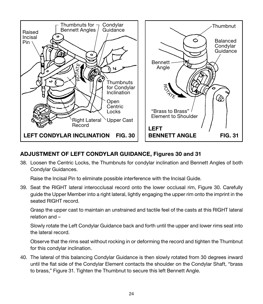

# ADJUSTMENT OF LEFT CONDYLAR GUIDANCE, Figures 30 and 31

38. Loosen the Centric Locks, the Thumbnuts for condylar inclination and Bennett Angles of both Condylar Guidances.

Raise the Incisal Pin to eliminate possible interference with the Incisal Guide.

39. Seat the RIGHT lateral interocclusal record onto the lower occlusal rim, Figure 30. Carefully guide the Upper Member into a right lateral, lightly engaging the upper rim onto the imprint in the seated RIGHT record.

 Grasp the upper cast to maintain an unstrained and tactile feel of the casts at this RIGHT lateral relation and –

 Slowly rotate the Left Condylar Guidance back and forth until the upper and lower rims seat into the lateral record.

 Observe that the rims seat without rocking in or deforming the record and tighten the Thumbnut for this condylar inclination.

40. The lateral of this balancing Condylar Guidance is then slowly rotated from 30 degrees inward until the flat side of the Condylar Element contacts the shoulder on the Condylar Shaft, "brass to brass," Figure 31. Tighten the Thumbnut to secure this left Bennett Angle.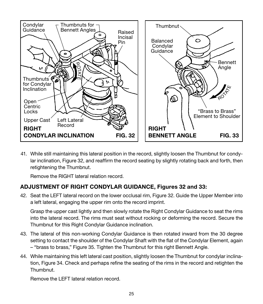

41. While still maintaining this lateral position in the record, slightly loosen the Thumbnut for condylar inclination, Figure 32, and reaffirm the record seating by slightly rotating back and forth, then retightening the Thumbnut.

Remove the RIGHT lateral relation record.

# ADJUSTMENT OF RIGHT CONDYLAR GUIDANCE, Figures 32 and 33:

42. Seat the LEFT lateral record on the lower occlusal rim, Figure 32. Guide the Upper Member into a left lateral, engaging the upper rim onto the record imprint.

 Grasp the upper cast lightly and then slowly rotate the Right Condylar Guidance to seat the rims into the lateral record. The rims must seat without rocking or deforming the record. Secure the Thumbnut for this Right Condylar Guidance inclination.

- 43. The lateral of this non-working Condylar Guidance is then rotated inward from the 30 degree setting to contact the shoulder of the Condylar Shaft with the flat of the Condylar Element, again – "brass to brass," Figure 35. Tighten the Thumbnut for this right Bennett Angle.
- 44. While maintaining this left lateral cast position, slightly loosen the Thumbnut for condylar inclination, Figure 34. Check and perhaps refine the seating of the rims in the record and retighten the Thumbnut.

Remove the LEFT lateral relation record.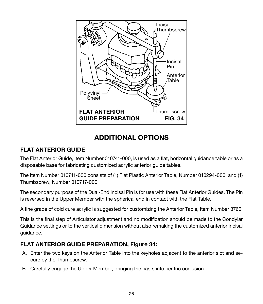

# ADDITIONAL OPTIONS

## FLAT ANTERIOR GUIDE

The Flat Anterior Guide, Item Number 010741-000, is used as a flat, horizontal guidance table or as a disposable base for fabricating customized acrylic anterior guide tables.

The Item Number 010741-000 consists of (1) Flat Plastic Anterior Table, Number 010294-000, and (1) Thumbscrew, Number 010717-000.

The secondary purpose of the Dual-End Incisal Pin is for use with these Flat Anterior Guides. The Pin is reversed in the Upper Member with the spherical end in contact with the Flat Table.

A fine grade of cold cure acrylic is suggested for customizing the Anterior Table, Item Number 3760.

This is the final step of Articulator adjustment and no modification should be made to the Condylar Guidance settings or to the vertical dimension without also remaking the customized anterior incisal guidance.

#### FLAT ANTERIOR GUIDE PREPARATION, Figure 34:

- A. Enter the two keys on the Anterior Table into the keyholes adjacent to the anterior slot and secure by the Thumbscrew.
- B. Carefully engage the Upper Member, bringing the casts into centric occlusion.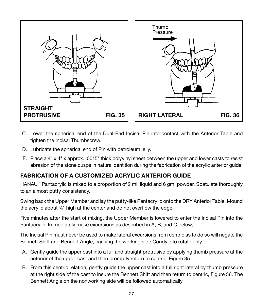

- C. Lower the spherical end of the Dual-End Incisal Pin into contact with the Anterior Table and tighten the Incisal Thumbscrew.
- D. Lubricate the spherical end of Pin with petroleum jelly.
- E. Place a 4" x 4" x approx. .0015" thick polyvinyl sheet between the upper and lower casts to resist abrasion of the stone cusps in natural dentition during the fabrication of the acrylic anterior guide.

# FABRICATION OF A CUSTOMIZED ACRYLIC ANTERIOR GUIDE

HANAU™ Pantacrylic is mixed to a proportion of 2 ml. liquid and 6 gm. powder. Spatulate thoroughly to an almost putty consistency.

Swing back the Upper Member and lay the putty-like Pantacrylic onto the DRY Anterior Table. Mound the acrylic about <sup>3/8</sup>" high at the center and do not overflow the edge.

Five minutes after the start of mixing, the Upper Member is lowered to enter the Incisal Pin into the Pantacrylic. Immediately make excursions as described in A, B, and C below;

The Incisal Pin must never be used to make lateral excursions from centric as to do so will negate the Bennett Shift and Bennett Angle, causing the working side Condyle to rotate only.

- A. Gently guide the upper cast into a full and straight protrusive by applying thumb pressure at the anterior of the upper cast and then promptly return to centric, Figure 35.
- B. From this centric relation, gently guide the upper cast into a full right lateral by thumb pressure at the right side of the cast to insure the Bennett Shift and then return to centric, Figure 36. The Bennett Angle on the nonworking side will be followed automatically.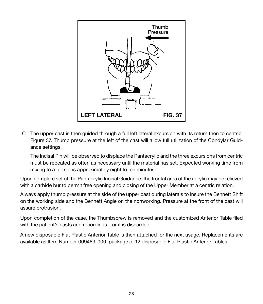

C. The upper cast is then guided through a full left lateral excursion with its return then to centric, Figure 37. Thumb pressure at the left of the cast will allow full utilization of the Condylar Guidance settings.

 The Incisal Pin will be observed to displace the Pantacrylic and the three excursions from centric must be repeated as often as necessary until the material has set. Expected working time from mixing to a full set is approximately eight to ten minutes.

Upon complete set of the Pantacrylic Incisal Guidance, the frontal area of the acrylic may be relieved with a carbide bur to permit free opening and closing of the Upper Member at a centric relation.

Always apply thumb pressure at the side of the upper cast during laterals to insure the Bennett Shift on the working side and the Bennett Angle on the nonworking. Pressure at the front of the cast will assure protrusion.

Upon completion of the case, the Thumbscrew is removed and the customized Anterior Table filed with the patient's casts and recordings – or it is discarded.

A new disposable Flat Plastic Anterior Table is then attached for the next usage. Replacements are available as Item Number 009489-000, package of 12 disposable Flat Plastic Anterior Tables.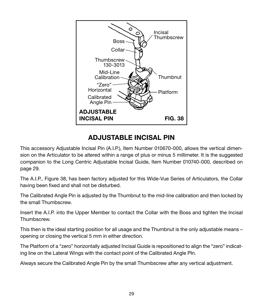

# ADJUSTABLE INCISAL PIN

This accessory Adjustable Incisal Pin (A.I.P.), Item Number 010670-000, allows the vertical dimension on the Articulator to be altered within a range of plus or minus 5 millimeter. It is the suggested companion to the Long Centric Adjustable Incisal Guide, Item Number 010740-000, described on page 29.

The A.I.P., Figure 38, has been factory adjusted for this Wide-Vue Series of Articulators, the Collar having been fixed and shall not be disturbed.

The Calibrated Angle Pin is adjusted by the Thumbnut to the mid-line calibration and then locked by the small Thumbscrew.

Insert the A.I.P. into the Upper Member to contact the Collar with the Boss and tighten the Incisal **Thumbscrew** 

This then is the ideal starting position for all usage and the Thumbnut is the only adjustable means – opening or closing the vertical 5 mm in either direction.

The Platform of a "zero" horizontally adjusted Incisal Guide is repositioned to align the "zero" indicating line on the Lateral Wings with the contact point of the Calibrated Angle PIn.

Always secure the Calibrated Angle Pin by the small Thumbscrew after any vertical adjustment.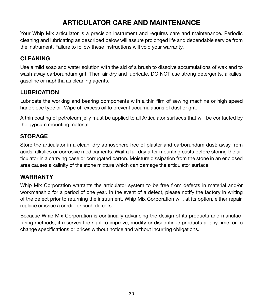# ARTICULATOR CARE AND MAINTENANCE

Your Whip Mix articulator is a precision instrument and requires care and maintenance. Periodic cleaning and lubricating as described below will assure prolonged life and dependable service from the instrument. Failure to follow these instructions will void your warranty.

## CLEANING

Use a mild soap and water solution with the aid of a brush to dissolve accumulations of wax and to wash away carborundum grit. Then air dry and lubricate. DO NOT use strong detergents, alkalies, gasoline or naphtha as cleaning agents.

#### LUBRICATION

Lubricate the working and bearing components with a thin film of sewing machine or high speed handpiece type oil. Wipe off excess oil to prevent accumulations of dust or grit.

A thin coating of petroleum jelly must be applied to all Articulator surfaces that will be contacted by the gypsum mounting material.

#### **STORAGE**

Store the articulator in a clean, dry atmosphere free of plaster and carborundum dust; away from acids, alkalies or corrosive medicaments. Wait a full day after mounting casts before storing the articulator in a carrying case or corrugated carton. Moisture dissipation from the stone in an enclosed area causes alkalinity of the stone mixture which can damage the articulator surface.

#### WARRANTY

Whip Mix Corporation warrants the articulator system to be free from defects in material and/or workmanship for a period of one year. In the event of a defect, please notify the factory in writing of the defect prior to returning the instrument. Whip Mix Corporation will, at its option, either repair, replace or issue a credit for such defects.

Because Whip Mix Corporation is continually advancing the design of its products and manufacturing methods, it reserves the right to improve, modify or discontinue products at any time, or to change specifications or prices without notice and without incurring obligations.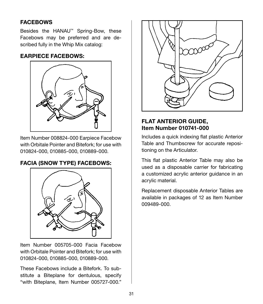# **FACEBOWS**

Besides the HANAU™ Spring-Bow, these Facebows may be preferred and are described fully in the Whip Mix catalog:

#### EARPIECE FACEBOWS:



Item Number 008824-000 Earpiece Facebow with Orbitale Pointer and Bitefork; for use with 010824-000, 010885-000, 010889-000.

# FACIA (SNOW TYPE) FACEBOWS:



Item Number 005705-000 Facia Facebow with Orbitale Pointer and Bitefork; for use with 010824-000, 010885-000, 010889-000.

These Facebows include a Bitefork. To substitute a Biteplane for dentulous, specify "with Biteplane, Item Number 005727-000."



## FLAT ANTERIOR GUIDE, Item Number 010741-000

Includes a quick indexing flat plastic Anterior Table and Thumbscrew for accurate repositioning on the Articulator.

This flat plastic Anterior Table may also be used as a disposable carrier for fabricating a customized acrylic anterior guidance in an acrylic material.

Replacement disposable Anterior Tables are available in packages of 12 as Item Number 009489-000.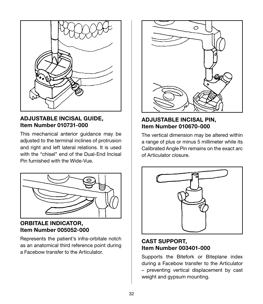

# ADJUSTABLE INCISAL GUIDE, Item Number 010731-000

This mechanical anterior guidance may be adjusted to the terminal inclines of protrusion and right and left lateral relations. It is used with the "chisel" end of the Dual-End Incisal Pin furnished with the Wide-Vue.



## ORBITALE INDICATOR, Item Number 005052-000

Represents the patient's infra-orbitale notch as an anatomical third reference point during a Facebow transfer to the Articulator.



# ADJUSTABLE INCISAL PIN, Item Number 010670-000

The vertical dimension may be altered within a range of plus or minus 5 millimeter while its Calibrated Angle Pin remains on the exact arc of Articulator closure.



# CAST SUPPORT, Item Number 003401-000

Supports the Bitefork or Biteplane index during a Facebow transfer to the Articulator – preventing vertical displacement by cast weight and gypsum mounting.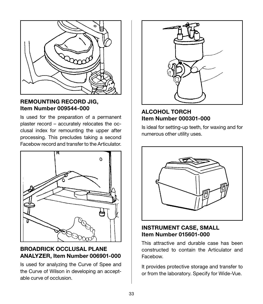

#### REMOUNTING RECORD JIG, Item Number 009544-000

Is used for the preparation of a permanent plaster record – accurately relocates the occlusal index for remounting the upper after processing. This precludes taking a second Facebow record and transfer to the Articulator.



## BROADRICK OCCLUSAL PLANE ANALYZER, Item Number 006901-000

Is used for analyzing the Curve of Spee and the Curve of Wilson in developing an acceptable curve of occlusion.



ALCOHOL TORCH Item Number 000301-000

Is ideal for setting-up teeth, for waxing and for numerous other utility uses.



#### INSTRUMENT CASE, SMALL Item Number 015601-000

This attractive and durable case has been constructed to contain the Articulator and Facebow.

It provides protective storage and transfer to or from the laboratory. Specify for Wide-Vue.